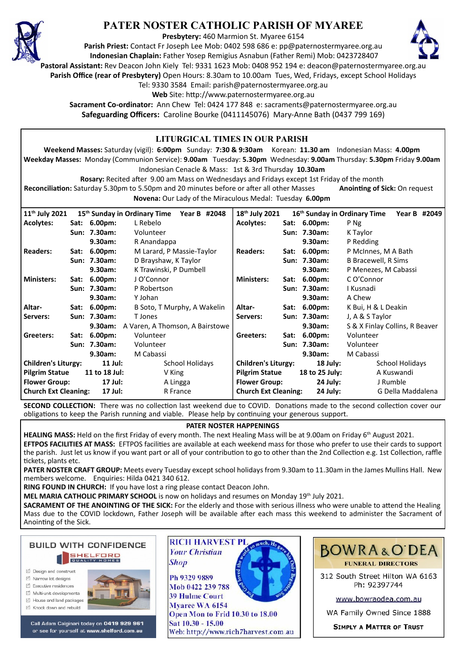

# **PATER NOSTER CATHOLIC PARISH OF MYAREE**

**Presbytery:** 460 Marmion St. Myaree 6154

**Parish Priest:** Contact Fr Joseph Lee Mob: 0402 598 686 e: pp@paternostermyaree.org.au **Indonesian Chaplain:** Father Yosep Remigius Asnabun (Father Remi) Mob: 0423728407



**Pastoral Assistant:** Rev Deacon John Kiely Tel: 9331 1623 Mob: 0408 952 194 e: deacon@paternostermyaree.org.au

**Parish Office (rear of Presbytery)** Open Hours: 8.30am to 10.00am Tues, Wed, Fridays, except School Holidays

Tel: 9330 3584 Email: parish@paternostermyaree.org.au

Web Site: http://www.paternostermyaree.org.au

**Sacrament Co-ordinator:** Ann Chew Tel: 0424 177 848 e: sacraments@paternostermyaree.org.au **Safeguarding Officers:** Caroline Bourke (0411145076) Mary-Anne Bath (0437 799 169)

| LITURGICAL TIMES IN OUR PARISH                                                                                                                        |                                            |              |                                                                                                         |                                           |                                                                                                                     |                             |                        |                              |              |  |
|-------------------------------------------------------------------------------------------------------------------------------------------------------|--------------------------------------------|--------------|---------------------------------------------------------------------------------------------------------|-------------------------------------------|---------------------------------------------------------------------------------------------------------------------|-----------------------------|------------------------|------------------------------|--------------|--|
|                                                                                                                                                       |                                            |              | Weekend Masses: Saturday (vigil): 6:00pm Sunday: 7:30 & 9:30am Korean: 11.30 am Indonesian Mass: 4.00pm |                                           |                                                                                                                     |                             |                        |                              |              |  |
|                                                                                                                                                       |                                            |              |                                                                                                         |                                           | Weekday Masses: Monday (Communion Service): 9.00am Tuesday: 5.30pm Wednesday: 9.00am Thursday: 5.30pm Friday 9.00am |                             |                        |                              |              |  |
| Indonesian Cenacle & Mass: 1st & 3rd Thursday 10.30am                                                                                                 |                                            |              |                                                                                                         |                                           |                                                                                                                     |                             |                        |                              |              |  |
| Rosary: Recited after 9.00 am Mass on Wednesdays and Fridays except 1st Friday of the month                                                           |                                            |              |                                                                                                         |                                           |                                                                                                                     |                             |                        |                              |              |  |
|                                                                                                                                                       |                                            |              |                                                                                                         |                                           | <b>Anointing of Sick: On request</b>                                                                                |                             |                        |                              |              |  |
| Reconciliation: Saturday 5.30pm to 5.50pm and 20 minutes before or after all other Masses<br>Novena: Our Lady of the Miraculous Medal: Tuesday 6.00pm |                                            |              |                                                                                                         |                                           |                                                                                                                     |                             |                        |                              |              |  |
|                                                                                                                                                       |                                            |              |                                                                                                         |                                           |                                                                                                                     |                             |                        |                              |              |  |
| 11 <sup>th</sup> July 2021                                                                                                                            |                                            |              | 15th Sunday in Ordinary Time                                                                            | Year B #2048                              | 18th July 2021                                                                                                      |                             |                        | 16th Sunday in Ordinary Time | Year B #2049 |  |
| <b>Acolytes:</b>                                                                                                                                      |                                            | Sat: 6.00pm: | L Rebelo                                                                                                |                                           | <b>Acolytes:</b>                                                                                                    |                             | Sat: 6.00pm:           | P Ng                         |              |  |
|                                                                                                                                                       |                                            | Sun: 7.30am: | Volunteer                                                                                               |                                           |                                                                                                                     |                             | Sun: 7.30am:           | K Taylor                     |              |  |
|                                                                                                                                                       |                                            | 9.30am:      | R Anandappa                                                                                             |                                           | <b>Readers:</b>                                                                                                     | Sat:                        | 9.30am:                | P Redding                    |              |  |
| <b>Readers:</b>                                                                                                                                       |                                            | Sat: 6.00pm: |                                                                                                         | M Larard, P Massie-Taylor                 |                                                                                                                     |                             | $6.00pm$ :             | P McInnes, M A Bath          |              |  |
|                                                                                                                                                       |                                            | Sun: 7.30am: | D Brayshaw, K Taylor                                                                                    |                                           |                                                                                                                     |                             | Sun: 7.30am:           | <b>B Bracewell, R Sims</b>   |              |  |
|                                                                                                                                                       |                                            | 9.30am:      |                                                                                                         | K Trawinski, P Dumbell                    |                                                                                                                     |                             | 9.30am:                | P Menezes, M Cabassi         |              |  |
| <b>Ministers:</b>                                                                                                                                     |                                            | Sat: 6.00pm: | J O'Connor                                                                                              |                                           |                                                                                                                     |                             | Sat: 6.00pm:           | C O'Connor                   |              |  |
|                                                                                                                                                       |                                            | Sun: 7.30am: | P Robertson                                                                                             |                                           |                                                                                                                     |                             | Sun: 7.30am:           | I Kusnadi                    |              |  |
|                                                                                                                                                       |                                            | 9.30am:      | Y Johan                                                                                                 |                                           |                                                                                                                     |                             | 9.30am:                | A Chew                       |              |  |
| Altar-                                                                                                                                                |                                            | Sat: 6.00pm: |                                                                                                         | B Soto, T Murphy, A Wakelin               |                                                                                                                     |                             | Sat: 6.00pm:           | K Bui, H & L Deakin          |              |  |
| Servers:                                                                                                                                              |                                            | Sun: 7.30am: | T Jones                                                                                                 |                                           |                                                                                                                     |                             | Sun: 7.30am:           | J, A & S Taylor              |              |  |
|                                                                                                                                                       | 9.30am:<br>A Varen, A Thomson, A Bairstowe |              |                                                                                                         | 9.30am:<br>S & X Finlay Collins, R Beaver |                                                                                                                     |                             |                        |                              |              |  |
| Greeters:                                                                                                                                             |                                            | Sat: 6.00pm: | Volunteer                                                                                               |                                           |                                                                                                                     |                             | Sat: 6.00pm:           | Volunteer                    |              |  |
|                                                                                                                                                       | Sun: 7.30am:<br>Volunteer                  |              |                                                                                                         |                                           | Sun: 7.30am:                                                                                                        | Volunteer                   |                        |                              |              |  |
| 9.30am:<br>M Cabassi                                                                                                                                  |                                            |              |                                                                                                         | 9.30am:                                   | M Cabassi                                                                                                           |                             |                        |                              |              |  |
| <b>Children's Liturgy:</b><br>$11$ Jul:                                                                                                               |                                            |              | <b>School Holidays</b>                                                                                  |                                           | <b>Children's Liturgy:</b>                                                                                          |                             | <b>School Holidays</b> |                              |              |  |
| <b>Pilgrim Statue</b><br>11 to 18 Jul:                                                                                                                |                                            | V King       |                                                                                                         | <b>Pilgrim Statue</b>                     |                                                                                                                     | 18 to 25 July:              | A Kuswandi             |                              |              |  |
| <b>Flower Group:</b><br>17 Jul:                                                                                                                       |                                            |              | A Lingga                                                                                                |                                           | <b>Flower Group:</b>                                                                                                |                             | J Rumble               |                              |              |  |
| <b>Church Ext Cleaning:</b><br>17 Jul:                                                                                                                |                                            |              |                                                                                                         | R France                                  |                                                                                                                     | <b>Church Ext Cleaning:</b> |                        | G Della Maddalena            |              |  |

**SECOND COLLECTION:** There was no collection last weekend due to COVID. Donations made to the second collection cover our obligations to keep the Parish running and viable. Please help by continuing your generous support.

#### **PATER NOSTER HAPPENINGS**

**HEALING MASS:** Held on the first Friday of every month. The next Healing Mass will be at 9.00am on Friday 6<sup>th</sup> August 2021. **EFTPOS FACILITIES AT MASS:** EFTPOS facili�es are available at each weekend mass for those who prefer to use their cards to support the parish. Just let us know if you want part or all of your contribution to go to other than the 2nd Collection e.g. 1st Collection, raffle tickets, plants etc.

**PATER NOSTER CRAFT GROUP:** Meets every Tuesday except school holidays from 9.30am to 11.30am in the James Mullins Hall. New members welcome. Enquiries: Hilda 0421 340 612.

**RING FOUND IN CHURCH:** If you have lost a ring please contact Deacon John.

**MEL MARIA CATHOLIC PRIMARY SCHOOL** is now on holidays and resumes on Monday 19th July 2021.

**SACRAMENT OF THE ANOINTING OF THE SICK:** For the elderly and those with serious illness who were unable to attend the Healing Mass due to the COVID lockdown, Father Joseph will be available after each mass this weekend to administer the Sacrament of Anointing of the Sick.

**BUILD WITH CONFIDENCE SHELFORD** 

- ☑ Design and construct
- $\triangledown$  Narrow lot designe  $\triangledown$  Executive residences
- Multi-unit developments
- M House and land packages
- ☑ Knock down and rebuild



Call Adam Calginari today on 0419 929 961 or see for yourself at www.shelford.com.au



Ph 9329 9889 Mob 0422 239 788 **39 Hulme Court** Myaree WA 6154 Open Mon to Frid 10.30 to 18.00 Sat 10.30 - 15.00 Web: http://www.rich7harvest.com.au



312 South Street Hilton WA 6163 Ph: 92397744

www.bowraodea.com.au

WA Family Owned Since 1888

**SIMPLY A MATTER OF TRUST**